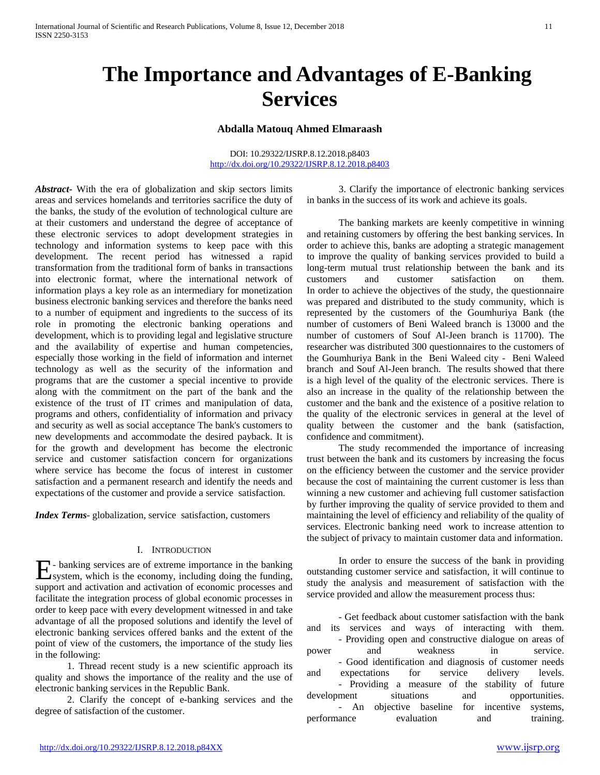# **The Importance and Advantages of E-Banking Services**

## **Abdalla Matouq Ahmed Elmaraash**

#### DOI: 10.29322/IJSRP.8.12.2018.p8403 <http://dx.doi.org/10.29322/IJSRP.8.12.2018.p8403>

*Abstract***-** With the era of globalization and skip sectors limits areas and services homelands and territories sacrifice the duty of the banks, the study of the evolution of technological culture are at their customers and understand the degree of acceptance of these electronic services to adopt development strategies in technology and information systems to keep pace with this development. The recent period has witnessed a rapid transformation from the traditional form of banks in transactions into electronic format, where the international network of information plays a key role as an intermediary for monetization business electronic banking services and therefore the banks need to a number of equipment and ingredients to the success of its role in promoting the electronic banking operations and development, which is to providing legal and legislative structure and the availability of expertise and human competencies, especially those working in the field of information and internet technology as well as the security of the information and programs that are the customer a special incentive to provide along with the commitment on the part of the bank and the existence of the trust of IT crimes and manipulation of data, programs and others, confidentiality of information and privacy and security as well as social acceptance The bank's customers to new developments and accommodate the desired payback. It is for the growth and development has become the electronic service and customer satisfaction concern for organizations where service has become the focus of interest in customer satisfaction and a permanent research and identify the needs and expectations of the customer and provide a service satisfaction.

*Index Terms*- globalization, service satisfaction, customers

## I. INTRODUCTION

- banking services are of extreme importance in the banking  $E$ - banking services are of extreme importance in the banking, system, which is the economy, including doing the funding, support and activation and activation of economic processes and facilitate the integration process of global economic processes in order to keep pace with every development witnessed in and take advantage of all the proposed solutions and identify the level of electronic banking services offered banks and the extent of the point of view of the customers, the importance of the study lies in the following:

 1. Thread recent study is a new scientific approach its quality and shows the importance of the reality and the use of electronic banking services in the Republic Bank.

 2. Clarify the concept of e-banking services and the degree of satisfaction of the customer.

 3. Clarify the importance of electronic banking services in banks in the success of its work and achieve its goals.

 The banking markets are keenly competitive in winning and retaining customers by offering the best banking services. In order to achieve this, banks are adopting a strategic management to improve the quality of banking services provided to build a long-term mutual trust relationship between the bank and its customers and customer satisfaction on them. In order to achieve the objectives of the study, the questionnaire was prepared and distributed to the study community, which is represented by the customers of the Goumhuriya Bank (the number of customers of Beni Waleed branch is 13000 and the number of customers of Souf Al-Jeen branch is 11700). The researcher was distributed 300 questionnaires to the customers of the Goumhuriya Bank in the Beni Waleed city - Beni Waleed branch and Souf Al-Jeen branch. The results showed that there is a high level of the quality of the electronic services. There is also an increase in the quality of the relationship between the customer and the bank and the existence of a positive relation to the quality of the electronic services in general at the level of quality between the customer and the bank (satisfaction, confidence and commitment).

 The study recommended the importance of increasing trust between the bank and its customers by increasing the focus on the efficiency between the customer and the service provider because the cost of maintaining the current customer is less than winning a new customer and achieving full customer satisfaction by further improving the quality of service provided to them and maintaining the level of efficiency and reliability of the quality of services. Electronic banking need work to increase attention to the subject of privacy to maintain customer data and information.

 In order to ensure the success of the bank in providing outstanding customer service and satisfaction, it will continue to study the analysis and measurement of satisfaction with the service provided and allow the measurement process thus:

 - Get feedback about customer satisfaction with the bank and its services and ways of interacting with them. - Providing open and constructive dialogue on areas of power and weakness in service. - Good identification and diagnosis of customer needs and expectations for service delivery levels. - Providing a measure of the stability of future development situations and opportunities. - An objective baseline for incentive systems, performance evaluation and training.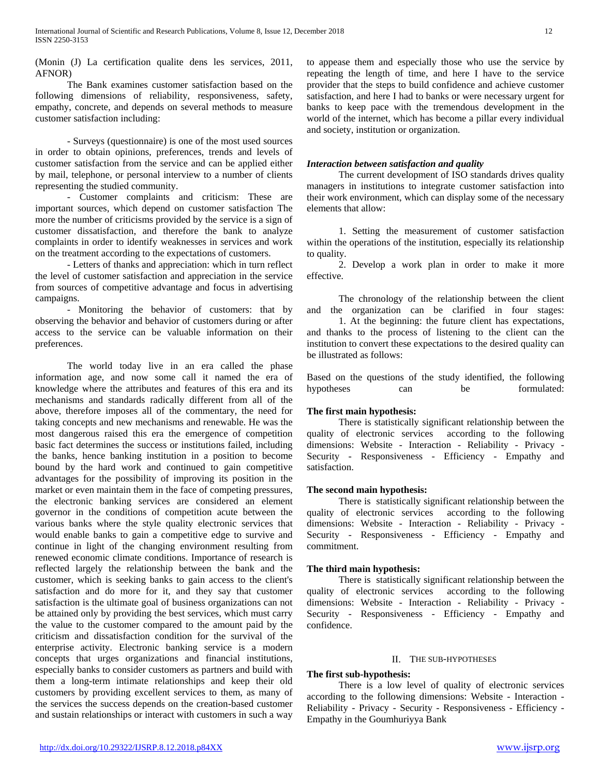(Monin (J) La certification qualite dens les services, 2011, AFNOR)

 The Bank examines customer satisfaction based on the following dimensions of reliability, responsiveness, safety, empathy, concrete, and depends on several methods to measure customer satisfaction including:

 - Surveys (questionnaire) is one of the most used sources in order to obtain opinions, preferences, trends and levels of customer satisfaction from the service and can be applied either by mail, telephone, or personal interview to a number of clients representing the studied community.

 - Customer complaints and criticism: These are important sources, which depend on customer satisfaction The more the number of criticisms provided by the service is a sign of customer dissatisfaction, and therefore the bank to analyze complaints in order to identify weaknesses in services and work on the treatment according to the expectations of customers.

 - Letters of thanks and appreciation: which in turn reflect the level of customer satisfaction and appreciation in the service from sources of competitive advantage and focus in advertising campaigns.

 - Monitoring the behavior of customers: that by observing the behavior and behavior of customers during or after access to the service can be valuable information on their preferences.

 The world today live in an era called the phase information age, and now some call it named the era of knowledge where the attributes and features of this era and its mechanisms and standards radically different from all of the above, therefore imposes all of the commentary, the need for taking concepts and new mechanisms and renewable. He was the most dangerous raised this era the emergence of competition basic fact determines the success or institutions failed, including the banks, hence banking institution in a position to become bound by the hard work and continued to gain competitive advantages for the possibility of improving its position in the market or even maintain them in the face of competing pressures, the electronic banking services are considered an element governor in the conditions of competition acute between the various banks where the style quality electronic services that would enable banks to gain a competitive edge to survive and continue in light of the changing environment resulting from renewed economic climate conditions. Importance of research is reflected largely the relationship between the bank and the customer, which is seeking banks to gain access to the client's satisfaction and do more for it, and they say that customer satisfaction is the ultimate goal of business organizations can not be attained only by providing the best services, which must carry the value to the customer compared to the amount paid by the criticism and dissatisfaction condition for the survival of the enterprise activity. Electronic banking service is a modern concepts that urges organizations and financial institutions, especially banks to consider customers as partners and build with them a long-term intimate relationships and keep their old customers by providing excellent services to them, as many of the services the success depends on the creation-based customer and sustain relationships or interact with customers in such a way

to appease them and especially those who use the service by repeating the length of time, and here I have to the service provider that the steps to build confidence and achieve customer satisfaction, and here I had to banks or were necessary urgent for banks to keep pace with the tremendous development in the world of the internet, which has become a pillar every individual and society, institution or organization.

# *Interaction between satisfaction and quality*

 The current development of ISO standards drives quality managers in institutions to integrate customer satisfaction into their work environment, which can display some of the necessary elements that allow:

 1. Setting the measurement of customer satisfaction within the operations of the institution, especially its relationship to quality.

 2. Develop a work plan in order to make it more effective.

 The chronology of the relationship between the client and the organization can be clarified in four stages: 1. At the beginning: the future client has expectations, and thanks to the process of listening to the client can the institution to convert these expectations to the desired quality can be illustrated as follows:

Based on the questions of the study identified, the following hypotheses can be formulated:

# **The first main hypothesis:**

 There is statistically significant relationship between the quality of electronic services according to the following dimensions: Website - Interaction - Reliability - Privacy - Security - Responsiveness - Efficiency - Empathy and satisfaction.

## **The second main hypothesis:**

 There is statistically significant relationship between the quality of electronic services according to the following dimensions: Website - Interaction - Reliability - Privacy - Security - Responsiveness - Efficiency - Empathy and commitment.

## **The third main hypothesis:**

 There is statistically significant relationship between the quality of electronic services according to the following dimensions: Website - Interaction - Reliability - Privacy - Security - Responsiveness - Efficiency - Empathy and confidence.

#### II. THE SUB-HYPOTHESES

## **The first sub-hypothesis:**

 There is a low level of quality of electronic services according to the following dimensions: Website - Interaction - Reliability - Privacy - Security - Responsiveness - Efficiency - Empathy in the Goumhuriyya Bank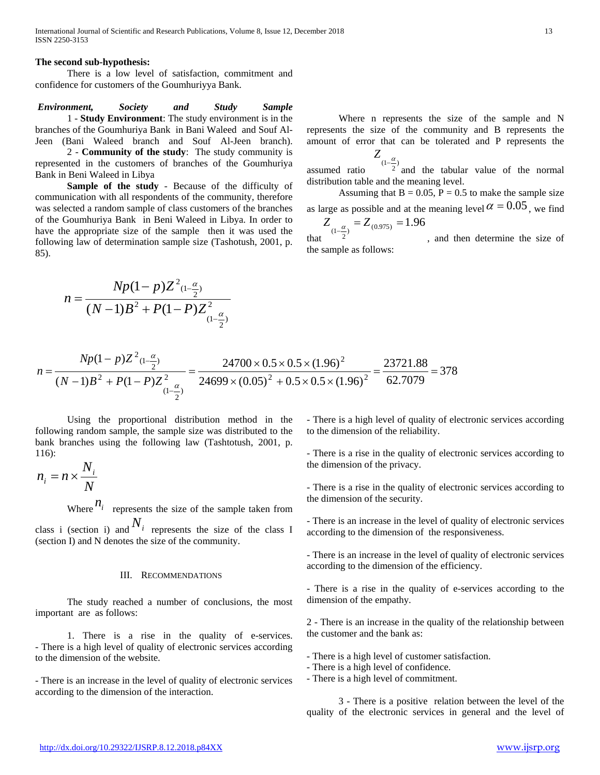#### **The second sub-hypothesis:**

 There is a low level of satisfaction, commitment and confidence for customers of the Goumhuriyya Bank.

*Environment, Society and Study Sample* 1 - **Study Environment**: The study environment is in the branches of the Goumhuriya Bank in Bani Waleed and Souf Al-Jeen (Bani Waleed branch and Souf Al-Jeen branch).

 2 - **Community of the study**: The study community is represented in the customers of branches of the Goumhuriya Bank in Beni Waleed in Libya

 **Sample of the study** - Because of the difficulty of communication with all respondents of the community, therefore was selected a random sample of class customers of the branches of the Goumhuriya Bank in Beni Waleed in Libya. In order to have the appropriate size of the sample then it was used the following law of determination sample size (Tashotush, 2001, p. 85).

$$
n = \frac{Np(1-p)Z^{2}(1-\frac{\alpha}{2})}{(N-1)B^{2} + P(1-P)Z^{2}(1-\frac{\alpha}{2})}
$$

 Where n represents the size of the sample and N represents the size of the community and B represents the amount of error that can be tolerated and P represents the

assumed ratio  $Z_{(1-\frac{\alpha}{2})}$ and the tabular value of the normal distribution table and the meaning level.

Assuming that  $B = 0.05$ ,  $P = 0.5$  to make the sample size as large as possible and at the meaning level  $\alpha = 0.05$ , we find

that  $Z_{(1-\frac{\alpha}{2})} = Z_{(0.975)} = 1.96$ , and then determine the size of the sample as follows:

$$
n = \frac{Np(1-p)Z^{2}(1-\frac{\alpha}{2})}{(N-1)B^{2} + P(1-P)Z^{2}(\frac{\alpha}{1-\frac{\alpha}{2}})} = \frac{24700 \times 0.5 \times 0.5 \times (1.96)^{2}}{24699 \times (0.05)^{2} + 0.5 \times 0.5 \times (1.96)^{2}} = \frac{23721.88}{62.7079} = 378
$$

 Using the proportional distribution method in the following random sample, the sample size was distributed to the bank branches using the following law (Tashtotush, 2001, p. 116):

$$
n_i = n \times \frac{N_i}{N}
$$

Where  $n_i$  represents the size of the sample taken from class i (section i) and  $N_i$  represents the size of the class I (section I) and N denotes the size of the community.

#### III. RECOMMENDATIONS

 The study reached a number of conclusions, the most important are as follows:

 1. There is a rise in the quality of e-services. - There is a high level of quality of electronic services according to the dimension of the website.

- There is an increase in the level of quality of electronic services according to the dimension of the interaction.

- There is a high level of quality of electronic services according to the dimension of the reliability.

- There is a rise in the quality of electronic services according to the dimension of the privacy.

- There is a rise in the quality of electronic services according to the dimension of the security.

- There is an increase in the level of quality of electronic services according to the dimension of the responsiveness.

- There is an increase in the level of quality of electronic services according to the dimension of the efficiency.

- There is a rise in the quality of e-services according to the dimension of the empathy.

2 - There is an increase in the quality of the relationship between the customer and the bank as:

- There is a high level of customer satisfaction.

- There is a high level of confidence.
- There is a high level of commitment.

 3 - There is a positive relation between the level of the quality of the electronic services in general and the level of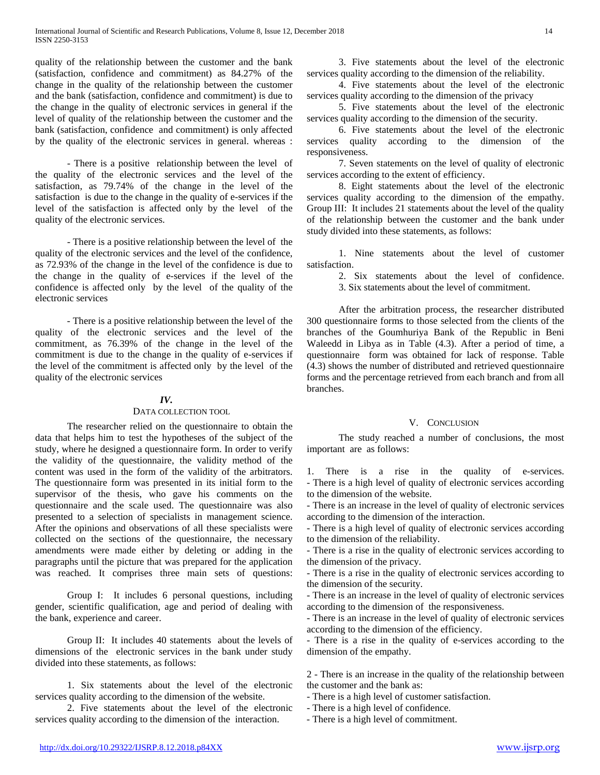quality of the relationship between the customer and the bank (satisfaction, confidence and commitment) as 84.27% of the change in the quality of the relationship between the customer and the bank (satisfaction, confidence and commitment) is due to the change in the quality of electronic services in general if the level of quality of the relationship between the customer and the bank (satisfaction, confidence and commitment) is only affected by the quality of the electronic services in general. whereas :

 - There is a positive relationship between the level of the quality of the electronic services and the level of the satisfaction, as 79.74% of the change in the level of the satisfaction is due to the change in the quality of e-services if the level of the satisfaction is affected only by the level of the quality of the electronic services.

 - There is a positive relationship between the level of the quality of the electronic services and the level of the confidence, as 72.93% of the change in the level of the confidence is due to the change in the quality of e-services if the level of the confidence is affected only by the level of the quality of the electronic services

 - There is a positive relationship between the level of the quality of the electronic services and the level of the commitment, as 76.39% of the change in the level of the commitment is due to the change in the quality of e-services if the level of the commitment is affected only by the level of the quality of the electronic services

## *IV.*

#### DATA COLLECTION TOOL

 The researcher relied on the questionnaire to obtain the data that helps him to test the hypotheses of the subject of the study, where he designed a questionnaire form. In order to verify the validity of the questionnaire, the validity method of the content was used in the form of the validity of the arbitrators. The questionnaire form was presented in its initial form to the supervisor of the thesis, who gave his comments on the questionnaire and the scale used. The questionnaire was also presented to a selection of specialists in management science. After the opinions and observations of all these specialists were collected on the sections of the questionnaire, the necessary amendments were made either by deleting or adding in the paragraphs until the picture that was prepared for the application was reached. It comprises three main sets of questions:

 Group I: It includes 6 personal questions, including gender, scientific qualification, age and period of dealing with the bank, experience and career.

 Group II: It includes 40 statements about the levels of dimensions of the electronic services in the bank under study divided into these statements, as follows:

 1. Six statements about the level of the electronic services quality according to the dimension of the website.

 2. Five statements about the level of the electronic services quality according to the dimension of the interaction.

 3. Five statements about the level of the electronic services quality according to the dimension of the reliability.

 4. Five statements about the level of the electronic services quality according to the dimension of the privacy

 5. Five statements about the level of the electronic services quality according to the dimension of the security.

 6. Five statements about the level of the electronic services quality according to the dimension of the responsiveness.

 7. Seven statements on the level of quality of electronic services according to the extent of efficiency.

 8. Eight statements about the level of the electronic services quality according to the dimension of the empathy. Group III: It includes 21 statements about the level of the quality of the relationship between the customer and the bank under study divided into these statements, as follows:

 1. Nine statements about the level of customer satisfaction.

2. Six statements about the level of confidence.

3. Six statements about the level of commitment.

 After the arbitration process, the researcher distributed 300 questionnaire forms to those selected from the clients of the branches of the Goumhuriya Bank of the Republic in Beni Waleedd in Libya as in Table (4.3). After a period of time, a questionnaire form was obtained for lack of response. Table (4.3) shows the number of distributed and retrieved questionnaire forms and the percentage retrieved from each branch and from all branches.

#### V. CONCLUSION

 The study reached a number of conclusions, the most important are as follows:

1. There is a rise in the quality of e-services. - There is a high level of quality of electronic services according to the dimension of the website.

- There is an increase in the level of quality of electronic services according to the dimension of the interaction.

- There is a high level of quality of electronic services according to the dimension of the reliability.

- There is a rise in the quality of electronic services according to the dimension of the privacy.

- There is a rise in the quality of electronic services according to the dimension of the security.

- There is an increase in the level of quality of electronic services according to the dimension of the responsiveness.

- There is an increase in the level of quality of electronic services according to the dimension of the efficiency.

- There is a rise in the quality of e-services according to the dimension of the empathy.

2 - There is an increase in the quality of the relationship between the customer and the bank as:

- There is a high level of customer satisfaction.

- There is a high level of confidence.

- There is a high level of commitment.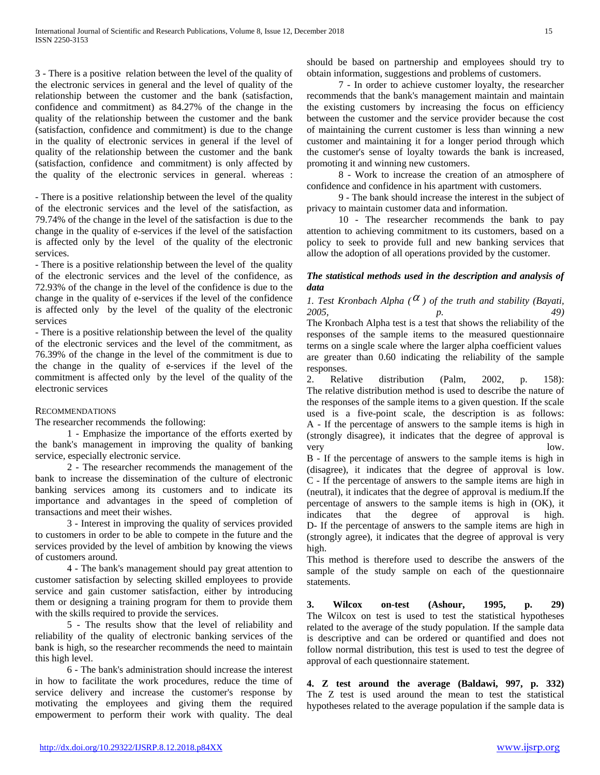3 - There is a positive relation between the level of the quality of the electronic services in general and the level of quality of the relationship between the customer and the bank (satisfaction, confidence and commitment) as 84.27% of the change in the quality of the relationship between the customer and the bank (satisfaction, confidence and commitment) is due to the change in the quality of electronic services in general if the level of quality of the relationship between the customer and the bank (satisfaction, confidence and commitment) is only affected by the quality of the electronic services in general. whereas :

- There is a positive relationship between the level of the quality of the electronic services and the level of the satisfaction, as 79.74% of the change in the level of the satisfaction is due to the change in the quality of e-services if the level of the satisfaction is affected only by the level of the quality of the electronic services.

- There is a positive relationship between the level of the quality of the electronic services and the level of the confidence, as 72.93% of the change in the level of the confidence is due to the change in the quality of e-services if the level of the confidence is affected only by the level of the quality of the electronic services

- There is a positive relationship between the level of the quality of the electronic services and the level of the commitment, as 76.39% of the change in the level of the commitment is due to the change in the quality of e-services if the level of the commitment is affected only by the level of the quality of the electronic services

## RECOMMENDATIONS

The researcher recommends the following:

 1 - Emphasize the importance of the efforts exerted by the bank's management in improving the quality of banking service, especially electronic service.

 2 - The researcher recommends the management of the bank to increase the dissemination of the culture of electronic banking services among its customers and to indicate its importance and advantages in the speed of completion of transactions and meet their wishes.

 3 - Interest in improving the quality of services provided to customers in order to be able to compete in the future and the services provided by the level of ambition by knowing the views of customers around.

 4 - The bank's management should pay great attention to customer satisfaction by selecting skilled employees to provide service and gain customer satisfaction, either by introducing them or designing a training program for them to provide them with the skills required to provide the services.

 5 - The results show that the level of reliability and reliability of the quality of electronic banking services of the bank is high, so the researcher recommends the need to maintain this high level.

 6 - The bank's administration should increase the interest in how to facilitate the work procedures, reduce the time of service delivery and increase the customer's response by motivating the employees and giving them the required empowerment to perform their work with quality. The deal should be based on partnership and employees should try to obtain information, suggestions and problems of customers.

 7 - In order to achieve customer loyalty, the researcher recommends that the bank's management maintain and maintain the existing customers by increasing the focus on efficiency between the customer and the service provider because the cost of maintaining the current customer is less than winning a new customer and maintaining it for a longer period through which the customer's sense of loyalty towards the bank is increased, promoting it and winning new customers.

 8 - Work to increase the creation of an atmosphere of confidence and confidence in his apartment with customers.

 9 - The bank should increase the interest in the subject of privacy to maintain customer data and information.

 10 - The researcher recommends the bank to pay attention to achieving commitment to its customers, based on a policy to seek to provide full and new banking services that allow the adoption of all operations provided by the customer.

# *The statistical methods used in the description and analysis of data*

*1. Test Kronbach Alpha* ( $\alpha$ ) of the truth and stability (Bayati, *2005, p. 49)* The Kronbach Alpha test is a test that shows the reliability of the responses of the sample items to the measured questionnaire terms on a single scale where the larger alpha coefficient values are greater than 0.60 indicating the reliability of the sample responses.

2. Relative distribution (Palm, 2002, p. 158): The relative distribution method is used to describe the nature of the responses of the sample items to a given question. If the scale used is a five-point scale, the description is as follows: A - If the percentage of answers to the sample items is high in (strongly disagree), it indicates that the degree of approval is very low.

B - If the percentage of answers to the sample items is high in (disagree), it indicates that the degree of approval is low. C - If the percentage of answers to the sample items are high in (neutral), it indicates that the degree of approval is medium.If the percentage of answers to the sample items is high in (OK), it indicates that the degree of approval is high. D- If the percentage of answers to the sample items are high in (strongly agree), it indicates that the degree of approval is very high.

This method is therefore used to describe the answers of the sample of the study sample on each of the questionnaire statements.

**3. Wilcox on-test (Ashour, 1995, p. 29)** The Wilcox on test is used to test the statistical hypotheses related to the average of the study population. If the sample data is descriptive and can be ordered or quantified and does not follow normal distribution, this test is used to test the degree of approval of each questionnaire statement.

**4. Z test around the average (Baldawi, 997, p. 332)** The Z test is used around the mean to test the statistical hypotheses related to the average population if the sample data is